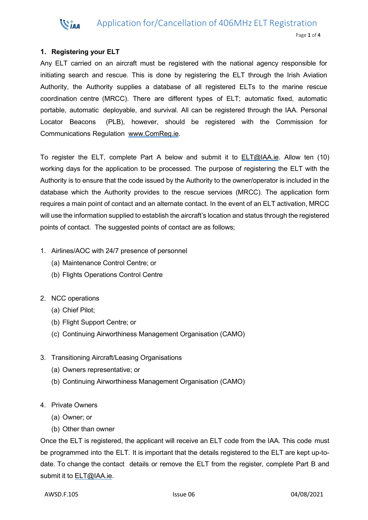## Application for/Cancellation of 406MHz ELT Registration



## **1. Registering your ELT**

VIAA

Any ELT carried on an aircraft must be registered with the national agency responsible for initiating search and rescue. This is done by registering the ELT through the Irish Aviation Authority, the Authority supplies a database of all registered ELTs to the marine rescue coordination centre (MRCC). There are different types of ELT; automatic fixed, automatic portable, automatic deployable, and survival. All can be registered through the IAA. Personal Locator Beacons (PLB), however, should be registered with the Commission for Communications Regulation [www.ComReg.ie.](http://www.comreg.ie/)

To register the ELT, complete Part A below and submit it to [ELT@IAA.ie.](mailto:ELT@IAA.ie) Allow ten (10) working days for the application to be processed. The purpose of registering the ELT with the Authority is to ensure that the code issued by the Authority to the owner/operator is included in the database which the Authority provides to the rescue services (MRCC). The application form requires a main point of contact and an alternate contact. In the event of an ELT activation, MRCC will use the information supplied to establish the aircraft's location and status through the registered points of contact. The suggested points of contact are as follows;

- 1. Airlines/AOC with 24/7 presence of personnel
	- (a) Maintenance Control Centre; or
	- (b) Flights Operations Control Centre
- 2. NCC operations
	- (a) Chief Pilot;
	- (b) Flight Support Centre; or
	- (c) Continuing Airworthiness Management Organisation (CAMO)
- 3. Transitioning Aircraft/Leasing Organisations
	- (a) Owners representative; or
	- (b) Continuing Airworthiness Management Organisation (CAMO)
- 4. Private Owners
	- (a) Owner; or
	- (b) Other than owner

Once the ELT is registered, the applicant will receive an ELT code from the IAA. This code must be programmed into the ELT. It is important that the details registered to the ELT are kept up-todate. To change the contact details or remove the ELT from the register, complete Part B and submit it to **ELT@IAA.ie.**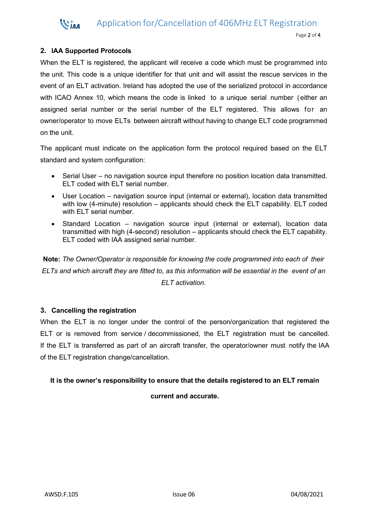Application for/Cancellation of 406MHz ELT Registration

#### Page 2 of 4

## **2. IAA Supported Protocols**

**WIAA** 

When the ELT is registered, the applicant will receive a code which must be programmed into the unit. This code is a unique identifier for that unit and will assist the rescue services in the event of an ELT activation. Ireland has adopted the use of the serialized protocol in accordance with ICAO Annex 10, which means the code is linked to a unique serial number (either an assigned serial number or the serial number of the ELT registered. This allows for an owner/operator to move ELTs between aircraft without having to change ELT code programmed on the unit.

The applicant must indicate on the application form the protocol required based on the ELT standard and system configuration:

- Serial User no navigation source input therefore no position location data transmitted. ELT coded with ELT serial number.
- User Location navigation source input (internal or external), location data transmitted with low (4-minute) resolution – applicants should check the ELT capability. ELT coded with ELT serial number.
- Standard Location navigation source input (internal or external), location data transmitted with high (4-second) resolution – applicants should check the ELT capability. ELT coded with IAA assigned serial number.

**Note:** *The Owner/Operator is responsible for knowing the code programmed into each of their* ELTs and which aircraft they are fitted to, as this information will be essential in the event of an *ELT activation.*

## **3. Cancelling the registration**

When the ELT is no longer under the control of the person/organization that registered the ELT or is removed from service / decommissioned, the ELT registration must be cancelled. If the ELT is transferred as part of an aircraft transfer, the operator/owner must notify the IAA of the ELT registration change/cancellation.

### **It is the owner's responsibility to ensure that the details registered to an ELT remain**

**current and accurate.**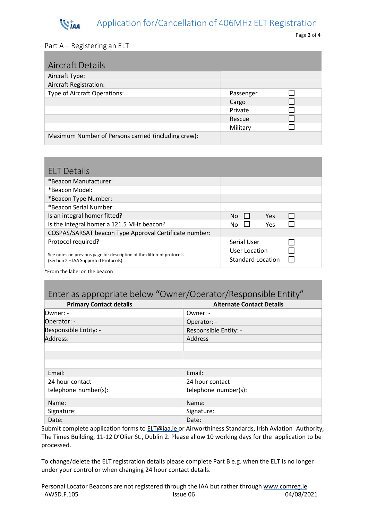#### Application for/Cancellation of 406MHz ELT Registration **WIAA**

## Part A – Registering an ELT

| <b>Aircraft Details</b>                             |           |  |
|-----------------------------------------------------|-----------|--|
| Aircraft Type:                                      |           |  |
| Aircraft Registration:                              |           |  |
| Type of Aircraft Operations:                        | Passenger |  |
|                                                     | Cargo     |  |
|                                                     | Private   |  |
|                                                     | Rescue    |  |
|                                                     | Military  |  |
| Maximum Number of Persons carried (including crew): |           |  |

| <b>ELT Details</b>                                                                                             |               |                          |  |
|----------------------------------------------------------------------------------------------------------------|---------------|--------------------------|--|
| *Beacon Manufacturer:                                                                                          |               |                          |  |
| *Beacon Model:                                                                                                 |               |                          |  |
| *Beacon Type Number:                                                                                           |               |                          |  |
| *Beacon Serial Number:                                                                                         |               |                          |  |
| Is an integral homer fitted?                                                                                   | $No$ $\Box$   | Yes                      |  |
| Is the integral homer a 121.5 MHz beacon?                                                                      | No.           | Yes                      |  |
| COSPAS/SARSAT beacon Type Approval Certificate number:                                                         |               |                          |  |
| Protocol required?                                                                                             | Serial User   |                          |  |
| See notes on previous page for description of the different protocols<br>(Section 2 – IAA Supported Protocols) | User Location | <b>Standard Location</b> |  |

\*From the label on the beacon

# Enter as appropriate below "Owner/Operator/Responsible Entity"

| <b>Primary Contact details</b> | <b>Alternate Contact Details</b> |
|--------------------------------|----------------------------------|
| Owner: -                       | Owner: -                         |
| Operator: -                    | Operator: -                      |
| Responsible Entity: -          | Responsible Entity: -            |
| Address:                       | Address                          |
|                                |                                  |
|                                |                                  |
|                                |                                  |
| Email:                         | Email:                           |
| 24 hour contact                | 24 hour contact                  |
| telephone number(s):           | telephone number(s):             |
| Name:                          | Name:                            |
| Signature:                     | Signature:                       |
| Date:                          | Date:                            |

Submit complete application forms to **[ELT@iaa.ie](mailto:ELT@iaa.ie)** or Airworthiness Standards, Irish Aviation Authority, The Times Building, 11-12 D'Olier St., Dublin 2. Please allow 10 working days for the application to be processed.

To change/delete the ELT registration details please complete Part B e.g. when the ELT is no longer under your control or when changing 24 hour contact details.